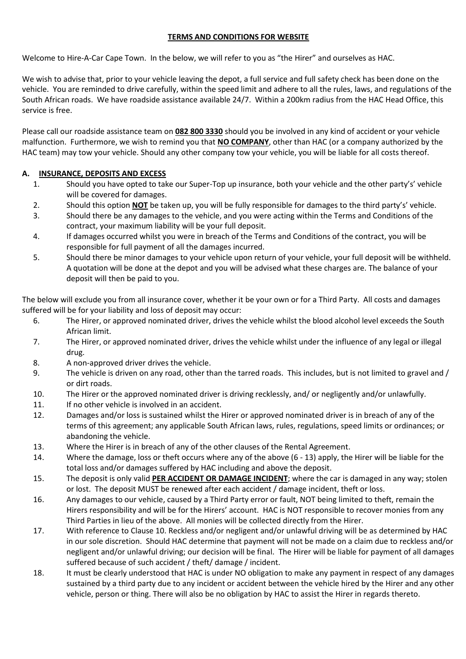## **TERMS AND CONDITIONS FOR WEBSITE**

Welcome to Hire-A-Car Cape Town. In the below, we will refer to you as "the Hirer" and ourselves as HAC.

We wish to advise that, prior to your vehicle leaving the depot, a full service and full safety check has been done on the vehicle. You are reminded to drive carefully, within the speed limit and adhere to all the rules, laws, and regulations of the South African roads. We have roadside assistance available 24/7. Within a 200km radius from the HAC Head Office, this service is free.

Please call our roadside assistance team on **082 800 3330** should you be involved in any kind of accident or your vehicle malfunction. Furthermore, we wish to remind you that **NO COMPANY**, other than HAC (or a company authorized by the HAC team) may tow your vehicle. Should any other company tow your vehicle, you will be liable for all costs thereof.

#### **A. INSURANCE, DEPOSITS AND EXCESS**

- 1. Should you have opted to take our Super-Top up insurance, both your vehicle and the other party's' vehicle will be covered for damages.
- 2. Should this option **NOT** be taken up, you will be fully responsible for damages to the third party's' vehicle.
- 3. Should there be any damages to the vehicle, and you were acting within the Terms and Conditions of the contract, your maximum liability will be your full deposit.
- 4. If damages occurred whilst you were in breach of the Terms and Conditions of the contract, you will be responsible for full payment of all the damages incurred.
- 5. Should there be minor damages to your vehicle upon return of your vehicle, your full deposit will be withheld. A quotation will be done at the depot and you will be advised what these charges are. The balance of your deposit will then be paid to you.

The below will exclude you from all insurance cover, whether it be your own or for a Third Party. All costs and damages suffered will be for your liability and loss of deposit may occur:

- 6. The Hirer, or approved nominated driver, drives the vehicle whilst the blood alcohol level exceeds the South African limit.
- 7. The Hirer, or approved nominated driver, drives the vehicle whilst under the influence of any legal or illegal drug.
- 8. A non-approved driver drives the vehicle.
- 9. The vehicle is driven on any road, other than the tarred roads. This includes, but is not limited to gravel and / or dirt roads.
- 10. The Hirer or the approved nominated driver is driving recklessly, and/ or negligently and/or unlawfully.
- 11. If no other vehicle is involved in an accident.
- 12. Damages and/or loss is sustained whilst the Hirer or approved nominated driver is in breach of any of the terms of this agreement; any applicable South African laws, rules, regulations, speed limits or ordinances; or abandoning the vehicle.
- 13. Where the Hirer is in breach of any of the other clauses of the Rental Agreement.
- 14. Where the damage, loss or theft occurs where any of the above (6 13) apply, the Hirer will be liable for the total loss and/or damages suffered by HAC including and above the deposit.
- 15. The deposit is only valid **PER ACCIDENT OR DAMAGE INCIDENT**; where the car is damaged in any way; stolen or lost. The deposit MUST be renewed after each accident / damage incident, theft or loss.
- 16. Any damages to our vehicle, caused by a Third Party error or fault, NOT being limited to theft, remain the Hirers responsibility and will be for the Hirers' account. HAC is NOT responsible to recover monies from any Third Parties in lieu of the above. All monies will be collected directly from the Hirer.
- 17. With reference to Clause 10. Reckless and/or negligent and/or unlawful driving will be as determined by HAC in our sole discretion. Should HAC determine that payment will not be made on a claim due to reckless and/or negligent and/or unlawful driving; our decision will be final. The Hirer will be liable for payment of all damages suffered because of such accident / theft/ damage / incident.
- 18. It must be clearly understood that HAC is under NO obligation to make any payment in respect of any damages sustained by a third party due to any incident or accident between the vehicle hired by the Hirer and any other vehicle, person or thing. There will also be no obligation by HAC to assist the Hirer in regards thereto.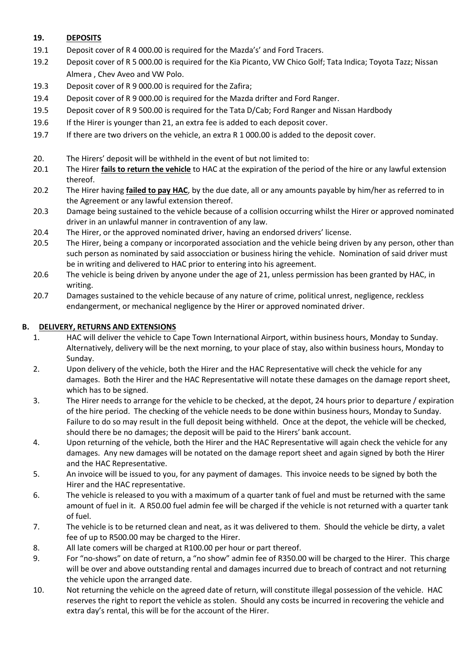## **19. DEPOSITS**

- 19.1 Deposit cover of R 4 000.00 is required for the Mazda's' and Ford Tracers.
- 19.2 Deposit cover of R 5 000.00 is required for the Kia Picanto, VW Chico Golf; Tata Indica; Toyota Tazz; Nissan Almera , Chev Aveo and VW Polo.
- 19.3 Deposit cover of R 9 000.00 is required for the Zafira;
- 19.4 Deposit cover of R 9 000.00 is required for the Mazda drifter and Ford Ranger.
- 19.5 Deposit cover of R 9 500.00 is required for the Tata D/Cab; Ford Ranger and Nissan Hardbody
- 19.6 If the Hirer is younger than 21, an extra fee is added to each deposit cover.
- 19.7 If there are two drivers on the vehicle, an extra R 1 000.00 is added to the deposit cover.
- 20. The Hirers' deposit will be withheld in the event of but not limited to:
- 20.1 The Hirer **fails to return the vehicle** to HAC at the expiration of the period of the hire or any lawful extension thereof.
- 20.2 The Hirer having **failed to pay HAC**, by the due date, all or any amounts payable by him/her as referred to in the Agreement or any lawful extension thereof.
- 20.3 Damage being sustained to the vehicle because of a collision occurring whilst the Hirer or approved nominated driver in an unlawful manner in contravention of any law.
- 20.4 The Hirer, or the approved nominated driver, having an endorsed drivers' license.
- 20.5 The Hirer, being a company or incorporated association and the vehicle being driven by any person, other than such person as nominated by said assocciation or business hiring the vehicle. Nomination of said driver must be in writing and delivered to HAC prior to entering into his agreement.
- 20.6 The vehicle is being driven by anyone under the age of 21, unless permission has been granted by HAC, in writing.
- 20.7 Damages sustained to the vehicle because of any nature of crime, political unrest, negligence, reckless endangerment, or mechanical negligence by the Hirer or approved nominated driver.

#### **B. DELIVERY, RETURNS AND EXTENSIONS**

- 1. HAC will deliver the vehicle to Cape Town International Airport, within business hours, Monday to Sunday. Alternatively, delivery will be the next morning, to your place of stay, also within business hours, Monday to Sunday.
- 2. Upon delivery of the vehicle, both the Hirer and the HAC Representative will check the vehicle for any damages. Both the Hirer and the HAC Representative will notate these damages on the damage report sheet, which has to be signed.
- 3. The Hirer needs to arrange for the vehicle to be checked, at the depot, 24 hours prior to departure / expiration of the hire period. The checking of the vehicle needs to be done within business hours, Monday to Sunday. Failure to do so may result in the full deposit being withheld. Once at the depot, the vehicle will be checked, should there be no damages; the deposit will be paid to the Hirers' bank account.
- 4. Upon returning of the vehicle, both the Hirer and the HAC Representative will again check the vehicle for any damages. Any new damages will be notated on the damage report sheet and again signed by both the Hirer and the HAC Representative.
- 5. An invoice will be issued to you, for any payment of damages. This invoice needs to be signed by both the Hirer and the HAC representative.
- 6. The vehicle is released to you with a maximum of a quarter tank of fuel and must be returned with the same amount of fuel in it. A R50.00 fuel admin fee will be charged if the vehicle is not returned with a quarter tank of fuel.
- 7. The vehicle is to be returned clean and neat, as it was delivered to them. Should the vehicle be dirty, a valet fee of up to R500.00 may be charged to the Hirer.
- 8. All late comers will be charged at R100.00 per hour or part thereof.
- 9. For "no-shows" on date of return, a "no show" admin fee of R350.00 will be charged to the Hirer. This charge will be over and above outstanding rental and damages incurred due to breach of contract and not returning the vehicle upon the arranged date.
- 10. Not returning the vehicle on the agreed date of return, will constitute illegal possession of the vehicle. HAC reserves the right to report the vehicle as stolen. Should any costs be incurred in recovering the vehicle and extra day's rental, this will be for the account of the Hirer.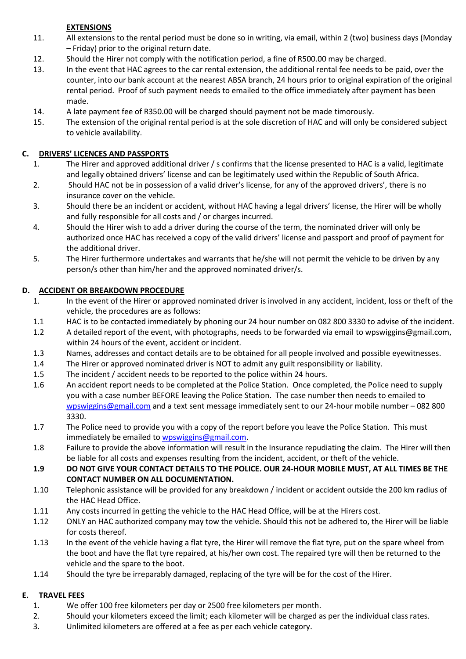# **EXTENSIONS**

- 11. All extensions to the rental period must be done so in writing, via email, within 2 (two) business days (Monday – Friday) prior to the original return date.
- 12. Should the Hirer not comply with the notification period, a fine of R500.00 may be charged.
- 13. In the event that HAC agrees to the car rental extension, the additional rental fee needs to be paid, over the counter, into our bank account at the nearest ABSA branch, 24 hours prior to original expiration of the original rental period. Proof of such payment needs to emailed to the office immediately after payment has been made.
- 14. A late payment fee of R350.00 will be charged should payment not be made timorously.
- 15. The extension of the original rental period is at the sole discretion of HAC and will only be considered subject to vehicle availability.

## **C. DRIVERS' LICENCES AND PASSPORTS**

- 1. The Hirer and approved additional driver / s confirms that the license presented to HAC is a valid, legitimate and legally obtained drivers' license and can be legitimately used within the Republic of South Africa.
- 2. Should HAC not be in possession of a valid driver's license, for any of the approved drivers', there is no insurance cover on the vehicle.
- 3. Should there be an incident or accident, without HAC having a legal drivers' license, the Hirer will be wholly and fully responsible for all costs and / or charges incurred.
- 4. Should the Hirer wish to add a driver during the course of the term, the nominated driver will only be authorized once HAC has received a copy of the valid drivers' license and passport and proof of payment for the additional driver.
- 5. The Hirer furthermore undertakes and warrants that he/she will not permit the vehicle to be driven by any person/s other than him/her and the approved nominated driver/s.

## **D. ACCIDENT OR BREAKDOWN PROCEDURE**

- 1. In the event of the Hirer or approved nominated driver is involved in any accident, incident, loss or theft of the vehicle, the procedures are as follows:
- 1.1 HAC is to be contacted immediately by phoning our 24 hour number on 082 800 3330 to advise of the incident.
- 1.2 A detailed report of the event, with photographs, needs to be forwarded via email to wpswiggins@gmail.com, within 24 hours of the event, accident or incident.
- 1.3 Names, addresses and contact details are to be obtained for all people involved and possible eyewitnesses.
- 1.4 The Hirer or approved nominated driver is NOT to admit any guilt responsibility or liability.
- 1.5 The incident / accident needs to be reported to the police within 24 hours.
- 1.6 An accident report needs to be completed at the Police Station. Once completed, the Police need to supply you with a case number BEFORE leaving the Police Station. The case number then needs to emailed to [wpswiggins@gmail.com](mailto:wpswiggins@gmail.com) and a text sent message immediately sent to our 24-hour mobile number – 082 800 3330.
- 1.7 The Police need to provide you with a copy of the report before you leave the Police Station. This must immediately be emailed to [wpswiggins@gmail.com.](mailto:wpswiggins@gmail.com)
- 1.8 Failure to provide the above information will result in the Insurance repudiating the claim. The Hirer will then be liable for all costs and expenses resulting from the incident, accident, or theft of the vehicle.
- **1.9 DO NOT GIVE YOUR CONTACT DETAILS TO THE POLICE. OUR 24-HOUR MOBILE MUST, AT ALL TIMES BE THE CONTACT NUMBER ON ALL DOCUMENTATION.**
- 1.10 Telephonic assistance will be provided for any breakdown / incident or accident outside the 200 km radius of the HAC Head Office.
- 1.11 Any costs incurred in getting the vehicle to the HAC Head Office, will be at the Hirers cost.
- 1.12 ONLY an HAC authorized company may tow the vehicle. Should this not be adhered to, the Hirer will be liable for costs thereof.
- 1.13 In the event of the vehicle having a flat tyre, the Hirer will remove the flat tyre, put on the spare wheel from the boot and have the flat tyre repaired, at his/her own cost. The repaired tyre will then be returned to the vehicle and the spare to the boot.
- 1.14 Should the tyre be irreparably damaged, replacing of the tyre will be for the cost of the Hirer.

## **E. TRAVEL FEES**

- 1. We offer 100 free kilometers per day or 2500 free kilometers per month.
- 2. Should your kilometers exceed the limit; each kilometer will be charged as per the individual class rates.
- 3. Unlimited kilometers are offered at a fee as per each vehicle category.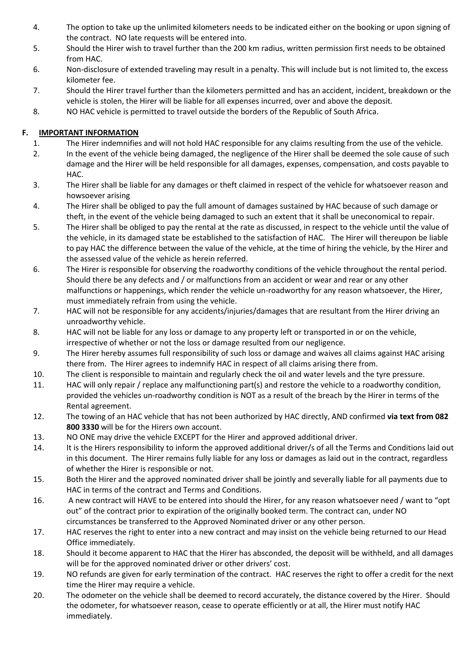- 4. The option to take up the unlimited kilometers needs to be indicated either on the booking or upon signing of the contract. NO late requests will be entered into.
- 5. Should the Hirer wish to travel further than the 200 km radius, written permission first needs to be obtained from HAC.
- 6. Non-disclosure of extended traveling may result in a penalty. This will include but is not limited to, the excess kilometer fee.
- 7. Should the Hirer travel further than the kilometers permitted and has an accident, incident, breakdown or the vehicle is stolen, the Hirer will be liable for all expenses incurred, over and above the deposit.
- 8. NO HAC vehicle is permitted to travel outside the borders of the Republic of South Africa.

## **F. IMPORTANT INFORMATION**

- 1. The Hirer indemnifies and will not hold HAC responsible for any claims resulting from the use of the vehicle.
- 2. In the event of the vehicle being damaged, the negligence of the Hirer shall be deemed the sole cause of such damage and the Hirer will be held responsible for all damages, expenses, compensation, and costs payable to HAC.
- 3. The Hirer shall be liable for any damages or theft claimed in respect of the vehicle for whatsoever reason and howsoever arising
- 4. The Hirer shall be obliged to pay the full amount of damages sustained by HAC because of such damage or theft, in the event of the vehicle being damaged to such an extent that it shall be uneconomical to repair.
- 5. The Hirer shall be obliged to pay the rental at the rate as discussed, in respect to the vehicle until the value of the vehicle, in its damaged state be established to the satisfaction of HAC. The Hirer will thereupon be liable to pay HAC the difference between the value of the vehicle, at the time of hiring the vehicle, by the Hirer and the assessed value of the vehicle as herein referred.
- 6. The Hirer is responsible for observing the roadworthy conditions of the vehicle throughout the rental period. Should there be any defects and / or malfunctions from an accident or wear and rear or any other malfunctions or happenings, which render the vehicle un-roadworthy for any reason whatsoever, the Hirer, must immediately refrain from using the vehicle.
- 7. HAC will not be responsible for any accidents/injuries/damages that are resultant from the Hirer driving an unroadworthy vehicle.
- 8. HAC will not be liable for any loss or damage to any property left or transported in or on the vehicle, irrespective of whether or not the loss or damage resulted from our negligence.
- 9. The Hirer hereby assumes full responsibility of such loss or damage and waives all claims against HAC arising there from. The Hirer agrees to indemnify HAC in respect of all claims arising there from.
- 10. The client is responsible to maintain and regularly check the oil and water levels and the tyre pressure.
- 11. HAC will only repair / replace any malfunctioning part(s) and restore the vehicle to a roadworthy condition, provided the vehicles un-roadworthy condition is NOT as a result of the breach by the Hirer in terms of the Rental agreement.
- 12. The towing of an HAC vehicle that has not been authorized by HAC directly, AND confirmed **via text from 082 800 3330** will be for the Hirers own account.
- 13. NO ONE may drive the vehicle EXCEPT for the Hirer and approved additional driver.
- 14. It is the Hirers responsibility to inform the approved additional driver/s of all the Terms and Conditions laid out in this document. The Hirer remains fully liable for any loss or damages as laid out in the contract, regardless of whether the Hirer is responsible or not.
- 15. Both the Hirer and the approved nominated driver shall be jointly and severally liable for all payments due to HAC in terms of the contract and Terms and Conditions.
- 16. A new contract will HAVE to be entered into should the Hirer, for any reason whatsoever need / want to "opt out" of the contract prior to expiration of the originally booked term. The contract can, under NO circumstances be transferred to the Approved Nominated driver or any other person.
- 17. HAC reserves the right to enter into a new contract and may insist on the vehicle being returned to our Head Office immediately.
- 18. Should it become apparent to HAC that the Hirer has absconded, the deposit will be withheld, and all damages will be for the approved nominated driver or other drivers' cost.
- 19. NO refunds are given for early termination of the contract. HAC reserves the right to offer a credit for the next time the Hirer may require a vehicle.
- 20. The odometer on the vehicle shall be deemed to record accurately, the distance covered by the Hirer. Should the odometer, for whatsoever reason, cease to operate efficiently or at all, the Hirer must notify HAC immediately.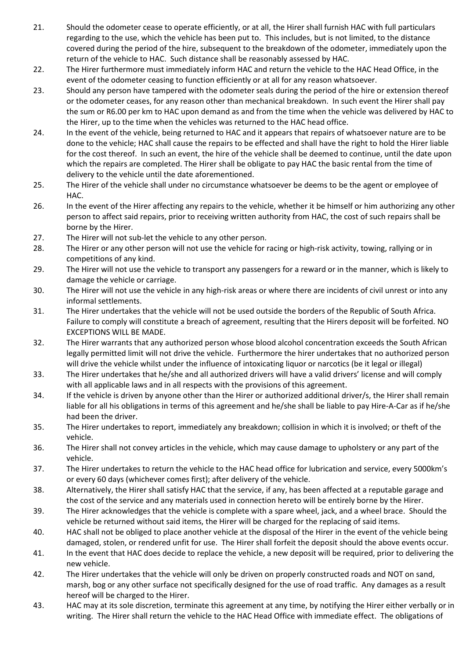- 21. Should the odometer cease to operate efficiently, or at all, the Hirer shall furnish HAC with full particulars regarding to the use, which the vehicle has been put to. This includes, but is not limited, to the distance covered during the period of the hire, subsequent to the breakdown of the odometer, immediately upon the return of the vehicle to HAC. Such distance shall be reasonably assessed by HAC.
- 22. The Hirer furthermore must immediately inform HAC and return the vehicle to the HAC Head Office, in the event of the odometer ceasing to function efficiently or at all for any reason whatsoever.
- 23. Should any person have tampered with the odometer seals during the period of the hire or extension thereof or the odometer ceases, for any reason other than mechanical breakdown. In such event the Hirer shall pay the sum or R6.00 per km to HAC upon demand as and from the time when the vehicle was delivered by HAC to the Hirer, up to the time when the vehicles was returned to the HAC head office.
- 24. In the event of the vehicle, being returned to HAC and it appears that repairs of whatsoever nature are to be done to the vehicle; HAC shall cause the repairs to be effected and shall have the right to hold the Hirer liable for the cost thereof. In such an event, the hire of the vehicle shall be deemed to continue, until the date upon which the repairs are completed. The Hirer shall be obligate to pay HAC the basic rental from the time of delivery to the vehicle until the date aforementioned.
- 25. The Hirer of the vehicle shall under no circumstance whatsoever be deems to be the agent or employee of HAC.
- 26. In the event of the Hirer affecting any repairs to the vehicle, whether it be himself or him authorizing any other person to affect said repairs, prior to receiving written authority from HAC, the cost of such repairs shall be borne by the Hirer.
- 27. The Hirer will not sub-let the vehicle to any other person.
- 28. The Hirer or any other person will not use the vehicle for racing or high-risk activity, towing, rallying or in competitions of any kind.
- 29. The Hirer will not use the vehicle to transport any passengers for a reward or in the manner, which is likely to damage the vehicle or carriage.
- 30. The Hirer will not use the vehicle in any high-risk areas or where there are incidents of civil unrest or into any informal settlements.
- 31. The Hirer undertakes that the vehicle will not be used outside the borders of the Republic of South Africa. Failure to comply will constitute a breach of agreement, resulting that the Hirers deposit will be forfeited. NO EXCEPTIONS WILL BE MADE.
- 32. The Hirer warrants that any authorized person whose blood alcohol concentration exceeds the South African legally permitted limit will not drive the vehicle. Furthermore the hirer undertakes that no authorized person will drive the vehicle whilst under the influence of intoxicating liquor or narcotics (be it legal or illegal)
- 33. The Hirer undertakes that he/she and all authorized drivers will have a valid drivers' license and will comply with all applicable laws and in all respects with the provisions of this agreement.
- 34. If the vehicle is driven by anyone other than the Hirer or authorized additional driver/s, the Hirer shall remain liable for all his obligations in terms of this agreement and he/she shall be liable to pay Hire-A-Car as if he/she had been the driver.
- 35. The Hirer undertakes to report, immediately any breakdown; collision in which it is involved; or theft of the vehicle.
- 36. The Hirer shall not convey articles in the vehicle, which may cause damage to upholstery or any part of the vehicle.
- 37. The Hirer undertakes to return the vehicle to the HAC head office for lubrication and service, every 5000km's or every 60 days (whichever comes first); after delivery of the vehicle.
- 38. Alternatively, the Hirer shall satisfy HAC that the service, if any, has been affected at a reputable garage and the cost of the service and any materials used in connection hereto will be entirely borne by the Hirer.
- 39. The Hirer acknowledges that the vehicle is complete with a spare wheel, jack, and a wheel brace. Should the vehicle be returned without said items, the Hirer will be charged for the replacing of said items.
- 40. HAC shall not be obliged to place another vehicle at the disposal of the Hirer in the event of the vehicle being damaged, stolen, or rendered unfit for use. The Hirer shall forfeit the deposit should the above events occur.
- 41. In the event that HAC does decide to replace the vehicle, a new deposit will be required, prior to delivering the new vehicle.
- 42. The Hirer undertakes that the vehicle will only be driven on properly constructed roads and NOT on sand, marsh, bog or any other surface not specifically designed for the use of road traffic. Any damages as a result hereof will be charged to the Hirer.
- 43. HAC may at its sole discretion, terminate this agreement at any time, by notifying the Hirer either verbally or in writing. The Hirer shall return the vehicle to the HAC Head Office with immediate effect. The obligations of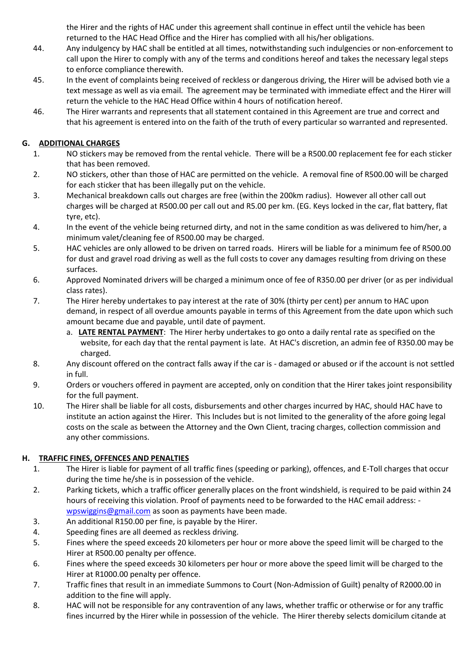the Hirer and the rights of HAC under this agreement shall continue in effect until the vehicle has been returned to the HAC Head Office and the Hirer has complied with all his/her obligations.

- 44. Any indulgency by HAC shall be entitled at all times, notwithstanding such indulgencies or non-enforcement to call upon the Hirer to comply with any of the terms and conditions hereof and takes the necessary legal steps to enforce compliance therewith.
- 45. In the event of complaints being received of reckless or dangerous driving, the Hirer will be advised both vie a text message as well as via email. The agreement may be terminated with immediate effect and the Hirer will return the vehicle to the HAC Head Office within 4 hours of notification hereof.
- 46. The Hirer warrants and represents that all statement contained in this Agreement are true and correct and that his agreement is entered into on the faith of the truth of every particular so warranted and represented.

# **G. ADDITIONAL CHARGES**

- 1. NO stickers may be removed from the rental vehicle. There will be a R500.00 replacement fee for each sticker that has been removed.
- 2. NO stickers, other than those of HAC are permitted on the vehicle. A removal fine of R500.00 will be charged for each sticker that has been illegally put on the vehicle.
- 3. Mechanical breakdown calls out charges are free (within the 200km radius). However all other call out charges will be charged at R500.00 per call out and R5.00 per km. (EG. Keys locked in the car, flat battery, flat tyre, etc).
- 4. In the event of the vehicle being returned dirty, and not in the same condition as was delivered to him/her, a minimum valet/cleaning fee of R500.00 may be charged.
- 5. HAC vehicles are only allowed to be driven on tarred roads. Hirers will be liable for a minimum fee of R500.00 for dust and gravel road driving as well as the full costs to cover any damages resulting from driving on these surfaces.
- 6. Approved Nominated drivers will be charged a minimum once of fee of R350.00 per driver (or as per individual class rates).
- 7. The Hirer hereby undertakes to pay interest at the rate of 30% (thirty per cent) per annum to HAC upon demand, in respect of all overdue amounts payable in terms of this Agreement from the date upon which such amount became due and payable, until date of payment.
	- a. **LATE RENTAL PAYMENT**: The Hirer herby undertakes to go onto a daily rental rate as specified on the website, for each day that the rental payment is late. At HAC's discretion, an admin fee of R350.00 may be charged.
- 8. Any discount offered on the contract falls away if the car is damaged or abused or if the account is not settled in full.
- 9. Orders or vouchers offered in payment are accepted, only on condition that the Hirer takes joint responsibility for the full payment.
- 10. The Hirer shall be liable for all costs, disbursements and other charges incurred by HAC, should HAC have to institute an action against the Hirer. This Includes but is not limited to the generality of the afore going legal costs on the scale as between the Attorney and the Own Client, tracing charges, collection commission and any other commissions.

## **H. TRAFFIC FINES, OFFENCES AND PENALTIES**

- 1. The Hirer is liable for payment of all traffic fines (speeding or parking), offences, and E-Toll charges that occur during the time he/she is in possession of the vehicle.
- 2. Parking tickets, which a traffic officer generally places on the front windshield, is required to be paid within 24 hours of receiving this violation. Proof of payments need to be forwarded to the HAC email address: [wpswiggins@gmail.com](mailto:wpswiggins@gmail.com) as soon as payments have been made.
- 3. An additional R150.00 per fine, is payable by the Hirer.
- 4. Speeding fines are all deemed as reckless driving.
- 5. Fines where the speed exceeds 20 kilometers per hour or more above the speed limit will be charged to the Hirer at R500.00 penalty per offence.
- 6. Fines where the speed exceeds 30 kilometers per hour or more above the speed limit will be charged to the Hirer at R1000.00 penalty per offence.
- 7. Traffic fines that result in an immediate Summons to Court (Non-Admission of Guilt) penalty of R2000.00 in addition to the fine will apply.
- 8. HAC will not be responsible for any contravention of any laws, whether traffic or otherwise or for any traffic fines incurred by the Hirer while in possession of the vehicle. The Hirer thereby selects domicilum citande at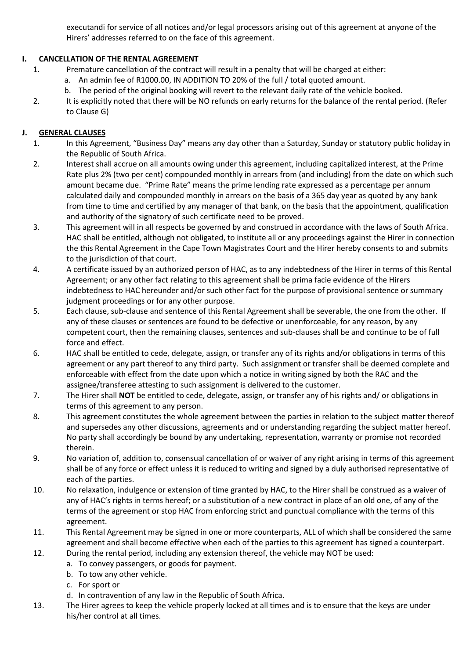executandi for service of all notices and/or legal processors arising out of this agreement at anyone of the Hirers' addresses referred to on the face of this agreement.

# **I. CANCELLATION OF THE RENTAL AGREEMENT**

- 1. Premature cancellation of the contract will result in a penalty that will be charged at either:
	- a. An admin fee of R1000.00, IN ADDITION TO 20% of the full / total quoted amount.
	- b. The period of the original booking will revert to the relevant daily rate of the vehicle booked.
- 2. It is explicitly noted that there will be NO refunds on early returns for the balance of the rental period. (Refer to Clause G)

## **J. GENERAL CLAUSES**

- 1. In this Agreement, "Business Day" means any day other than a Saturday, Sunday or statutory public holiday in the Republic of South Africa.
- 2. Interest shall accrue on all amounts owing under this agreement, including capitalized interest, at the Prime Rate plus 2% (two per cent) compounded monthly in arrears from (and including) from the date on which such amount became due. "Prime Rate" means the prime lending rate expressed as a percentage per annum calculated daily and compounded monthly in arrears on the basis of a 365 day year as quoted by any bank from time to time and certified by any manager of that bank, on the basis that the appointment, qualification and authority of the signatory of such certificate need to be proved.
- 3. This agreement will in all respects be governed by and construed in accordance with the laws of South Africa. HAC shall be entitled, although not obligated, to institute all or any proceedings against the Hirer in connection the this Rental Agreement in the Cape Town Magistrates Court and the Hirer hereby consents to and submits to the jurisdiction of that court.
- 4. A certificate issued by an authorized person of HAC, as to any indebtedness of the Hirer in terms of this Rental Agreement; or any other fact relating to this agreement shall be prima facie evidence of the Hirers indebtedness to HAC hereunder and/or such other fact for the purpose of provisional sentence or summary judgment proceedings or for any other purpose.
- 5. Each clause, sub-clause and sentence of this Rental Agreement shall be severable, the one from the other. If any of these clauses or sentences are found to be defective or unenforceable, for any reason, by any competent court, then the remaining clauses, sentences and sub-clauses shall be and continue to be of full force and effect.
- 6. HAC shall be entitled to cede, delegate, assign, or transfer any of its rights and/or obligations in terms of this agreement or any part thereof to any third party. Such assignment or transfer shall be deemed complete and enforceable with effect from the date upon which a notice in writing signed by both the RAC and the assignee/transferee attesting to such assignment is delivered to the customer.
- 7. The Hirer shall **NOT** be entitled to cede, delegate, assign, or transfer any of his rights and/ or obligations in terms of this agreement to any person.
- 8. This agreement constitutes the whole agreement between the parties in relation to the subject matter thereof and supersedes any other discussions, agreements and or understanding regarding the subject matter hereof. No party shall accordingly be bound by any undertaking, representation, warranty or promise not recorded therein.
- 9. No variation of, addition to, consensual cancellation of or waiver of any right arising in terms of this agreement shall be of any force or effect unless it is reduced to writing and signed by a duly authorised representative of each of the parties.
- 10. No relaxation, indulgence or extension of time granted by HAC, to the Hirer shall be construed as a waiver of any of HAC's rights in terms hereof; or a substitution of a new contract in place of an old one, of any of the terms of the agreement or stop HAC from enforcing strict and punctual compliance with the terms of this agreement.
- 11. This Rental Agreement may be signed in one or more counterparts, ALL of which shall be considered the same agreement and shall become effective when each of the parties to this agreement has signed a counterpart.
- 12. During the rental period, including any extension thereof, the vehicle may NOT be used:
	- a. To convey passengers, or goods for payment.
	- b. To tow any other vehicle.
	- c. For sport or
	- d. In contravention of any law in the Republic of South Africa.
- 13. The Hirer agrees to keep the vehicle properly locked at all times and is to ensure that the keys are under his/her control at all times.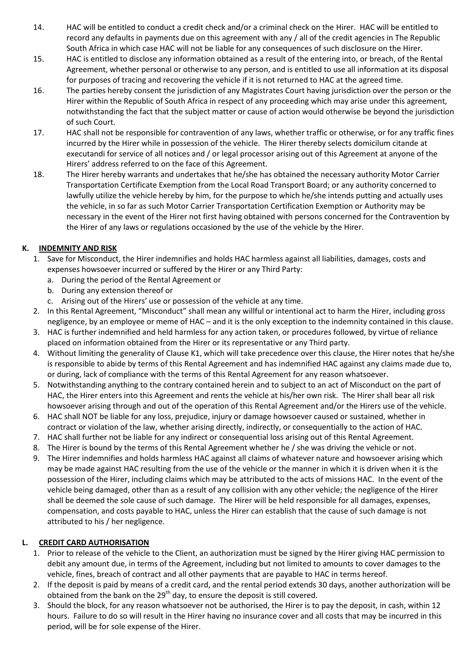- 14. HAC will be entitled to conduct a credit check and/or a criminal check on the Hirer. HAC will be entitled to record any defaults in payments due on this agreement with any / all of the credit agencies in The Republic South Africa in which case HAC will not be liable for any consequences of such disclosure on the Hirer.
- 15. HAC is entitled to disclose any information obtained as a result of the entering into, or breach, of the Rental Agreement, whether personal or otherwise to any person, and is entitled to use all information at its disposal for purposes of tracing and recovering the vehicle if it is not returned to HAC at the agreed time.
- 16. The parties hereby consent the jurisdiction of any Magistrates Court having jurisdiction over the person or the Hirer within the Republic of South Africa in respect of any proceeding which may arise under this agreement, notwithstanding the fact that the subject matter or cause of action would otherwise be beyond the jurisdiction of such Court.
- 17. HAC shall not be responsible for contravention of any laws, whether traffic or otherwise, or for any traffic fines incurred by the Hirer while in possession of the vehicle. The Hirer thereby selects domicilum citande at executandi for service of all notices and / or legal processor arising out of this Agreement at anyone of the Hirers' address referred to on the face of this Agreement.
- 18. The Hirer hereby warrants and undertakes that he/she has obtained the necessary authority Motor Carrier Transportation Certificate Exemption from the Local Road Transport Board; or any authority concerned to lawfully utilize the vehicle hereby by him, for the purpose to which he/she intends putting and actually uses the vehicle, in so far as such Motor Carrier Transportation Certification Exemption or Authority may be necessary in the event of the Hirer not first having obtained with persons concerned for the Contravention by the Hirer of any laws or regulations occasioned by the use of the vehicle by the Hirer.

# **K. INDEMNITY AND RISK**

- 1. Save for Misconduct, the Hirer indemnifies and holds HAC harmless against all liabilities, damages, costs and expenses howsoever incurred or suffered by the Hirer or any Third Party:
	- a. During the period of the Rental Agreement or
	- b. During any extension thereof or
	- c. Arising out of the Hirers' use or possession of the vehicle at any time.
- 2. In this Rental Agreement, "Misconduct" shall mean any willful or intentional act to harm the Hirer, including gross negligence, by an employee or meme of HAC – and it is the only exception to the indemnity contained in this clause.
- 3. HAC is further indemnified and held harmless for any action taken, or procedures followed, by virtue of reliance placed on information obtained from the Hirer or its representative or any Third party.
- 4. Without limiting the generality of Clause K1, which will take precedence over this clause, the Hirer notes that he/she is responsible to abide by terms of this Rental Agreement and has indemnified HAC against any claims made due to, or during, lack of compliance with the terms of this Rental Agreement for any reason whatsoever.
- 5. Notwithstanding anything to the contrary contained herein and to subject to an act of Misconduct on the part of HAC, the Hirer enters into this Agreement and rents the vehicle at his/her own risk. The Hirer shall bear all risk howsoever arising through and out of the operation of this Rental Agreement and/or the Hirers use of the vehicle.
- 6. HAC shall NOT be liable for any loss, prejudice, injury or damage howsoever caused or sustained, whether in contract or violation of the law, whether arising directly, indirectly, or consequentially to the action of HAC.
- 7. HAC shall further not be liable for any indirect or consequential loss arising out of this Rental Agreement.
- 8. The Hirer is bound by the terms of this Rental Agreement whether he / she was driving the vehicle or not.
- 9. The Hirer indemnifies and holds harmless HAC against all claims of whatever nature and howsoever arising which may be made against HAC resulting from the use of the vehicle or the manner in which it is driven when it is the possession of the Hirer, including claims which may be attributed to the acts of missions HAC. In the event of the vehicle being damaged, other than as a result of any collision with any other vehicle; the negligence of the Hirer shall be deemed the sole cause of such damage. The Hirer will be held responsible for all damages, expenses, compensation, and costs payable to HAC, unless the Hirer can establish that the cause of such damage is not attributed to his / her negligence.

# **L. CREDIT CARD AUTHORISATION**

- 1. Prior to release of the vehicle to the Client, an authorization must be signed by the Hirer giving HAC permission to debit any amount due, in terms of the Agreement, including but not limited to amounts to cover damages to the vehicle, fines, breach of contract and all other payments that are payable to HAC in terms hereof.
- 2. If the deposit is paid by means of a credit card, and the rental period extends 30 days, another authorization will be obtained from the bank on the  $29<sup>th</sup>$  day, to ensure the deposit is still covered.
- 3. Should the block, for any reason whatsoever not be authorised, the Hirer is to pay the deposit, in cash, within 12 hours. Failure to do so will result in the Hirer having no insurance cover and all costs that may be incurred in this period, will be for sole expense of the Hirer.